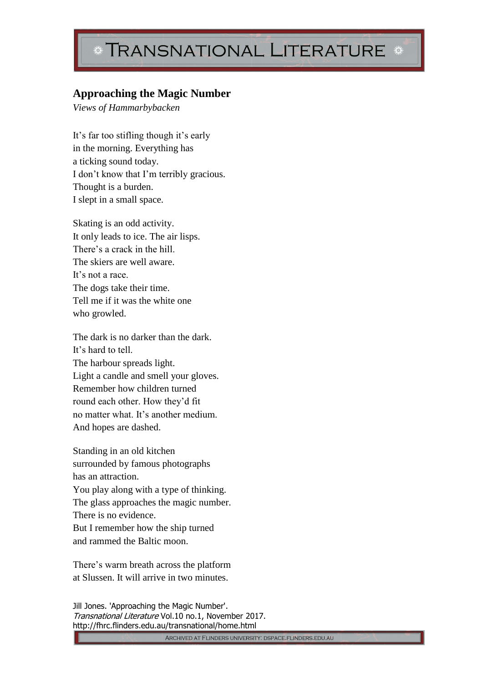## **TRANSNATIONAL LITERATURE**

## **Approaching the Magic Number**

*Views of Hammarbybacken*

It's far too stifling though it's early in the morning. Everything has a ticking sound today. I don't know that I'm terribly gracious. Thought is a burden. I slept in a small space.

Skating is an odd activity. It only leads to ice. The air lisps. There's a crack in the hill. The skiers are well aware. It's not a race. The dogs take their time. Tell me if it was the white one who growled.

The dark is no darker than the dark. It's hard to tell. The harbour spreads light. Light a candle and smell your gloves. Remember how children turned round each other. How they'd fit no matter what. It's another medium. And hopes are dashed.

Standing in an old kitchen surrounded by famous photographs has an attraction. You play along with a type of thinking. The glass approaches the magic number. There is no evidence. But I remember how the ship turned and rammed the Baltic moon.

There's warm breath across the platform at Slussen. It will arrive in two minutes.

Jill Jones. 'Approaching the Magic Number'. Transnational Literature Vol.10 no.1, November 2017. http://fhrc.flinders.edu.au/transnational/home.html